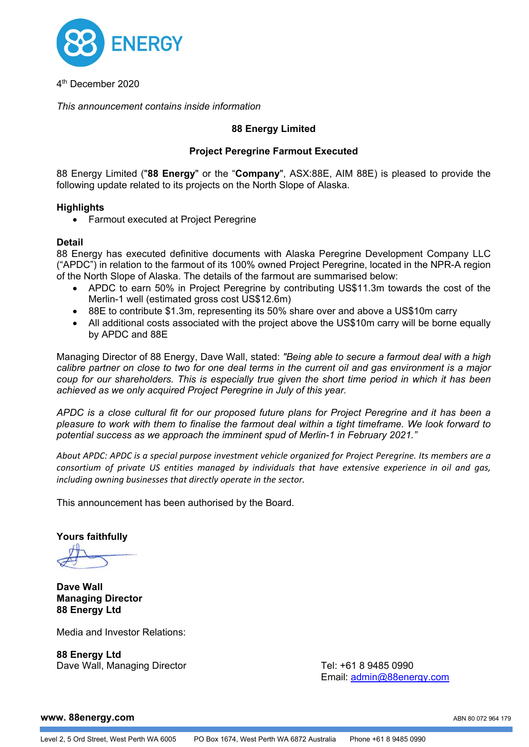

4th December 2020

*This announcement contains inside information*

# **88 Energy Limited**

# **Project Peregrine Farmout Executed**

88 Energy Limited ("**88 Energy**" or the "**Company**", ASX:88E, AIM 88E) is pleased to provide the following update related to its projects on the North Slope of Alaska.

### **Highlights**

• Farmout executed at Project Peregrine

### **Detail**

88 Energy has executed definitive documents with Alaska Peregrine Development Company LLC ("APDC") in relation to the farmout of its 100% owned Project Peregrine, located in the NPR-A region of the North Slope of Alaska. The details of the farmout are summarised below:

- APDC to earn 50% in Project Peregrine by contributing US\$11.3m towards the cost of the Merlin-1 well (estimated gross cost US\$12.6m)
- 88E to contribute \$1.3m, representing its 50% share over and above a US\$10m carry
- All additional costs associated with the project above the US\$10m carry will be borne equally by APDC and 88E

Managing Director of 88 Energy, Dave Wall, stated: *"Being able to secure a farmout deal with a high calibre partner on close to two for one deal terms in the current oil and gas environment is a major coup for our shareholders. This is especially true given the short time period in which it has been achieved as we only acquired Project Peregrine in July of this year.*

*APDC is a close cultural fit for our proposed future plans for Project Peregrine and it has been a pleasure to work with them to finalise the farmout deal within a tight timeframe. We look forward to potential success as we approach the imminent spud of Merlin-1 in February 2021."*

*About APDC: APDC is a special purpose investment vehicle organized for Project Peregrine. Its members are a consortium of private US entities managed by individuals that have extensive experience in oil and gas, including owning businesses that directly operate in the sector.*

This announcement has been authorised by the Board.

**Yours faithfully**

**Dave Wall Managing Director 88 Energy Ltd**

Media and Investor Relations:

**88 Energy Ltd** Dave Wall, Managing Director **Tel: +61 8 9485 0990** 

Email: [admin@88energy.com](mailto:admin@88energy.com)

#### **www. 88energy.com**